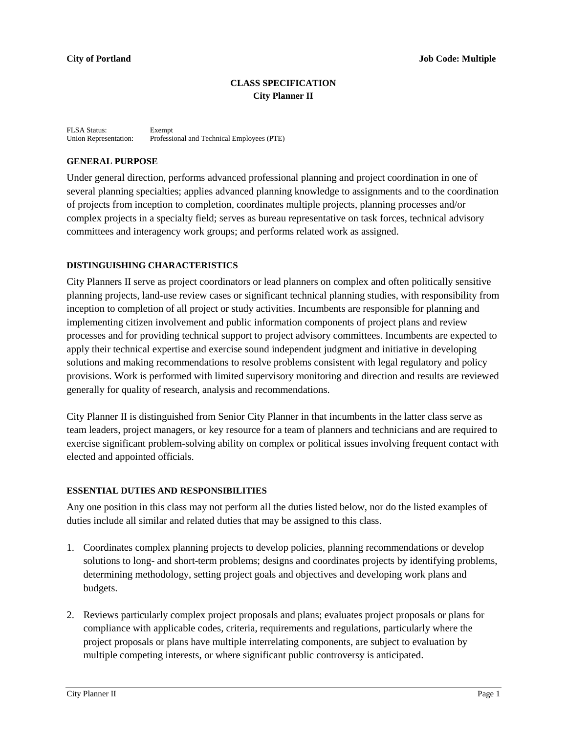## **CLASS SPECIFICATION City Planner II**

FLSA Status: Exempt Union Representation: Professional and Technical Employees (PTE)

#### **GENERAL PURPOSE**

Under general direction, performs advanced professional planning and project coordination in one of several planning specialties; applies advanced planning knowledge to assignments and to the coordination of projects from inception to completion, coordinates multiple projects, planning processes and/or complex projects in a specialty field; serves as bureau representative on task forces, technical advisory committees and interagency work groups; and performs related work as assigned.

### **DISTINGUISHING CHARACTERISTICS**

City Planners II serve as project coordinators or lead planners on complex and often politically sensitive planning projects, land-use review cases or significant technical planning studies, with responsibility from inception to completion of all project or study activities. Incumbents are responsible for planning and implementing citizen involvement and public information components of project plans and review processes and for providing technical support to project advisory committees. Incumbents are expected to apply their technical expertise and exercise sound independent judgment and initiative in developing solutions and making recommendations to resolve problems consistent with legal regulatory and policy provisions. Work is performed with limited supervisory monitoring and direction and results are reviewed generally for quality of research, analysis and recommendations.

City Planner II is distinguished from Senior City Planner in that incumbents in the latter class serve as team leaders, project managers, or key resource for a team of planners and technicians and are required to exercise significant problem-solving ability on complex or political issues involving frequent contact with elected and appointed officials.

### **ESSENTIAL DUTIES AND RESPONSIBILITIES**

Any one position in this class may not perform all the duties listed below, nor do the listed examples of duties include all similar and related duties that may be assigned to this class.

- 1. Coordinates complex planning projects to develop policies, planning recommendations or develop solutions to long- and short-term problems; designs and coordinates projects by identifying problems, determining methodology, setting project goals and objectives and developing work plans and budgets.
- 2. Reviews particularly complex project proposals and plans; evaluates project proposals or plans for compliance with applicable codes, criteria, requirements and regulations, particularly where the project proposals or plans have multiple interrelating components, are subject to evaluation by multiple competing interests, or where significant public controversy is anticipated.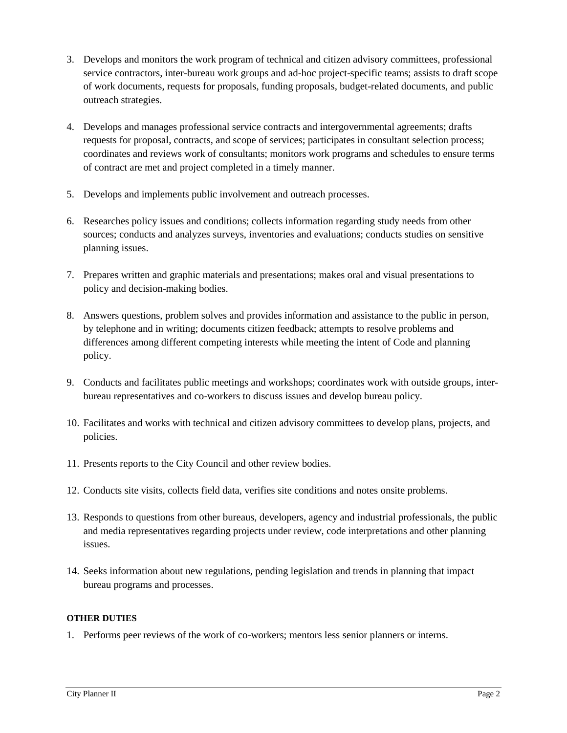- 3. Develops and monitors the work program of technical and citizen advisory committees, professional service contractors, inter-bureau work groups and ad-hoc project-specific teams; assists to draft scope of work documents, requests for proposals, funding proposals, budget-related documents, and public outreach strategies.
- 4. Develops and manages professional service contracts and intergovernmental agreements; drafts requests for proposal, contracts, and scope of services; participates in consultant selection process; coordinates and reviews work of consultants; monitors work programs and schedules to ensure terms of contract are met and project completed in a timely manner.
- 5. Develops and implements public involvement and outreach processes.
- 6. Researches policy issues and conditions; collects information regarding study needs from other sources; conducts and analyzes surveys, inventories and evaluations; conducts studies on sensitive planning issues.
- 7. Prepares written and graphic materials and presentations; makes oral and visual presentations to policy and decision-making bodies.
- 8. Answers questions, problem solves and provides information and assistance to the public in person, by telephone and in writing; documents citizen feedback; attempts to resolve problems and differences among different competing interests while meeting the intent of Code and planning policy.
- 9. Conducts and facilitates public meetings and workshops; coordinates work with outside groups, interbureau representatives and co-workers to discuss issues and develop bureau policy.
- 10. Facilitates and works with technical and citizen advisory committees to develop plans, projects, and policies.
- 11. Presents reports to the City Council and other review bodies.
- 12. Conducts site visits, collects field data, verifies site conditions and notes onsite problems.
- 13. Responds to questions from other bureaus, developers, agency and industrial professionals, the public and media representatives regarding projects under review, code interpretations and other planning issues.
- 14. Seeks information about new regulations, pending legislation and trends in planning that impact bureau programs and processes.

# **OTHER DUTIES**

1. Performs peer reviews of the work of co-workers; mentors less senior planners or interns.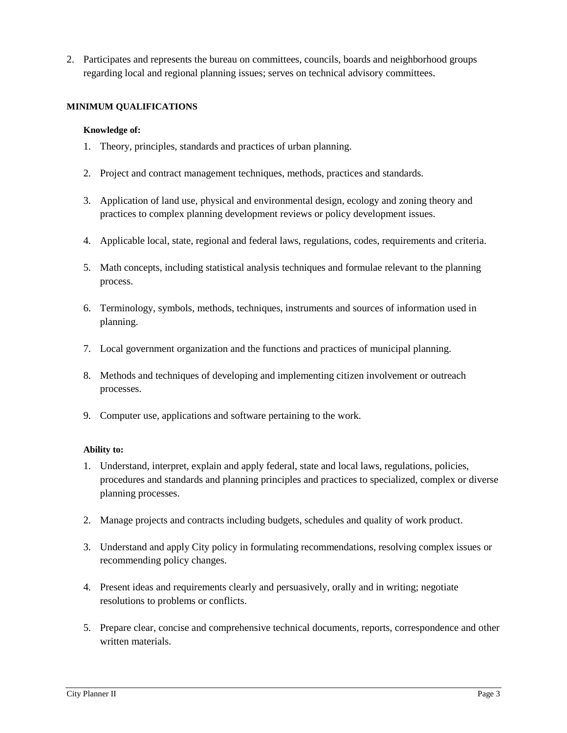2. Participates and represents the bureau on committees, councils, boards and neighborhood groups regarding local and regional planning issues; serves on technical advisory committees.

### **MINIMUM QUALIFICATIONS**

### **Knowledge of:**

- 1. Theory, principles, standards and practices of urban planning.
- 2. Project and contract management techniques, methods, practices and standards.
- 3. Application of land use, physical and environmental design, ecology and zoning theory and practices to complex planning development reviews or policy development issues.
- 4. Applicable local, state, regional and federal laws, regulations, codes, requirements and criteria.
- 5. Math concepts, including statistical analysis techniques and formulae relevant to the planning process.
- 6. Terminology, symbols, methods, techniques, instruments and sources of information used in planning.
- 7. Local government organization and the functions and practices of municipal planning.
- 8. Methods and techniques of developing and implementing citizen involvement or outreach processes.
- 9. Computer use, applications and software pertaining to the work.

- 1. Understand, interpret, explain and apply federal, state and local laws, regulations, policies, procedures and standards and planning principles and practices to specialized, complex or diverse planning processes.
- 2. Manage projects and contracts including budgets, schedules and quality of work product.
- 3. Understand and apply City policy in formulating recommendations, resolving complex issues or recommending policy changes.
- 4. Present ideas and requirements clearly and persuasively, orally and in writing; negotiate resolutions to problems or conflicts.
- 5. Prepare clear, concise and comprehensive technical documents, reports, correspondence and other written materials.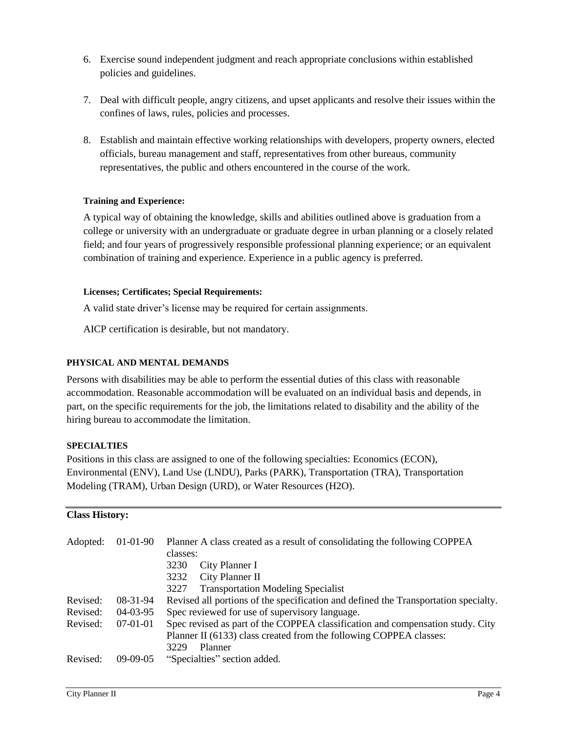- 6. Exercise sound independent judgment and reach appropriate conclusions within established policies and guidelines.
- 7. Deal with difficult people, angry citizens, and upset applicants and resolve their issues within the confines of laws, rules, policies and processes.
- 8. Establish and maintain effective working relationships with developers, property owners, elected officials, bureau management and staff, representatives from other bureaus, community representatives, the public and others encountered in the course of the work.

# **Training and Experience:**

A typical way of obtaining the knowledge, skills and abilities outlined above is graduation from a college or university with an undergraduate or graduate degree in urban planning or a closely related field; and four years of progressively responsible professional planning experience; or an equivalent combination of training and experience. Experience in a public agency is preferred.

### **Licenses; Certificates; Special Requirements:**

A valid state driver's license may be required for certain assignments.

AICP certification is desirable, but not mandatory.

## **PHYSICAL AND MENTAL DEMANDS**

Persons with disabilities may be able to perform the essential duties of this class with reasonable accommodation. Reasonable accommodation will be evaluated on an individual basis and depends, in part, on the specific requirements for the job, the limitations related to disability and the ability of the hiring bureau to accommodate the limitation.

## **SPECIALTIES**

Positions in this class are assigned to one of the following specialties: Economics (ECON), Environmental (ENV), Land Use (LNDU), Parks (PARK), Transportation (TRA), Transportation Modeling (TRAM), Urban Design (URD), or Water Resources (H2O).

### **Class History:**

| Adopted: | $01-01-90$ | Planner A class created as a result of consolidating the following COPPEA<br>classes:<br>3230<br>City Planner I<br>City Planner II<br>3232                              |
|----------|------------|-------------------------------------------------------------------------------------------------------------------------------------------------------------------------|
|          |            | <b>Transportation Modeling Specialist</b><br>3227                                                                                                                       |
| Revised: | 08-31-94   | Revised all portions of the specification and defined the Transportation specialty.                                                                                     |
| Revised: | $04-03-95$ | Spec reviewed for use of supervisory language.                                                                                                                          |
| Revised: | $07-01-01$ | Spec revised as part of the COPPEA classification and compensation study. City<br>Planner II (6133) class created from the following COPPEA classes:<br>3229<br>Planner |
| Revised: | $09-09-05$ | "Specialties" section added.                                                                                                                                            |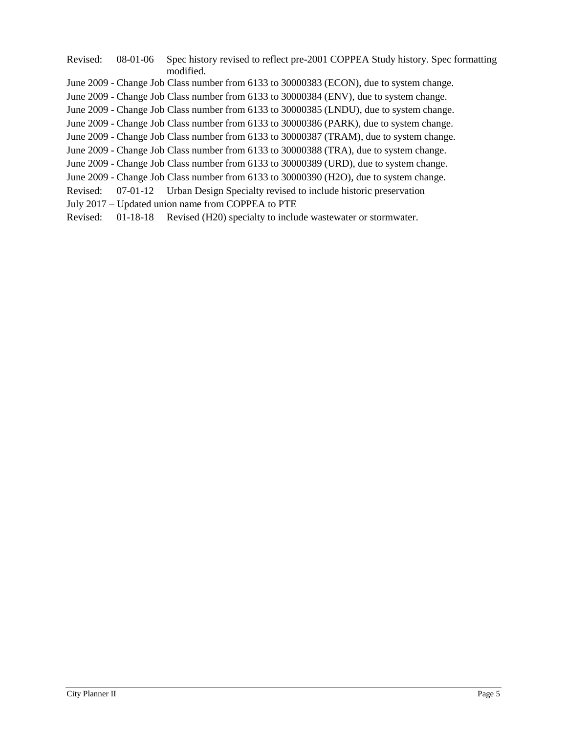| Revised: | 08-01-06 | Spec history revised to reflect pre-2001 COPPEA Study history. Spec formatting<br>modified. |
|----------|----------|---------------------------------------------------------------------------------------------|
|          |          | June 2009 - Change Job Class number from 6133 to 30000383 (ECON), due to system change.     |
|          |          | June 2009 - Change Job Class number from 6133 to 30000384 (ENV), due to system change.      |
|          |          | June 2009 - Change Job Class number from 6133 to 30000385 (LNDU), due to system change.     |
|          |          | June 2009 - Change Job Class number from 6133 to 30000386 (PARK), due to system change.     |
|          |          | June 2009 - Change Job Class number from 6133 to 30000387 (TRAM), due to system change.     |
|          |          | June 2009 - Change Job Class number from 6133 to 30000388 (TRA), due to system change.      |
|          |          | June 2009 - Change Job Class number from 6133 to 30000389 (URD), due to system change.      |
|          |          | June 2009 - Change Job Class number from 6133 to 30000390 (H2O), due to system change.      |
| Revised: |          | 07-01-12 Urban Design Specialty revised to include historic preservation                    |
|          |          | July 2017 – Updated union name from COPPEA to PTE                                           |
| Revised: |          | 01-18-18 Revised (H20) specialty to include wastewater or stormwater.                       |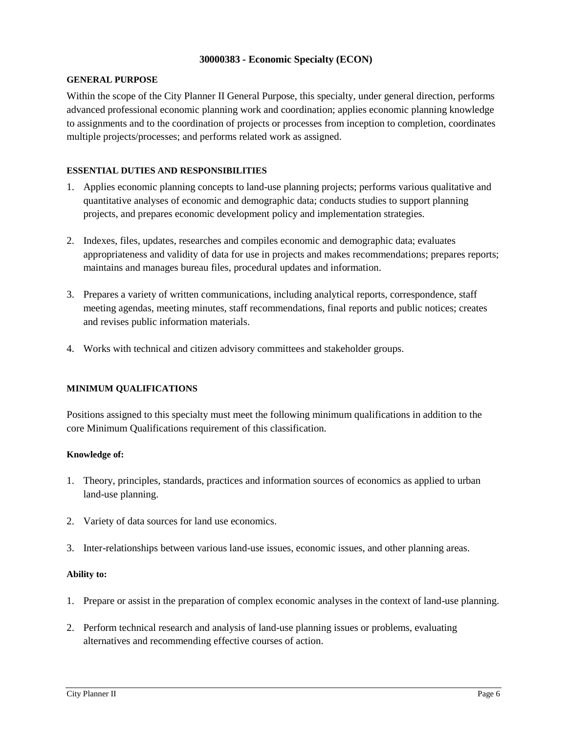### **30000383 - Economic Specialty (ECON)**

#### **GENERAL PURPOSE**

Within the scope of the City Planner II General Purpose, this specialty, under general direction, performs advanced professional economic planning work and coordination; applies economic planning knowledge to assignments and to the coordination of projects or processes from inception to completion, coordinates multiple projects/processes; and performs related work as assigned.

## **ESSENTIAL DUTIES AND RESPONSIBILITIES**

- 1. Applies economic planning concepts to land-use planning projects; performs various qualitative and quantitative analyses of economic and demographic data; conducts studies to support planning projects, and prepares economic development policy and implementation strategies.
- 2. Indexes, files, updates, researches and compiles economic and demographic data; evaluates appropriateness and validity of data for use in projects and makes recommendations; prepares reports; maintains and manages bureau files, procedural updates and information.
- 3. Prepares a variety of written communications, including analytical reports, correspondence, staff meeting agendas, meeting minutes, staff recommendations, final reports and public notices; creates and revises public information materials.
- 4. Works with technical and citizen advisory committees and stakeholder groups.

### **MINIMUM QUALIFICATIONS**

Positions assigned to this specialty must meet the following minimum qualifications in addition to the core Minimum Qualifications requirement of this classification.

### **Knowledge of:**

- 1. Theory, principles, standards, practices and information sources of economics as applied to urban land-use planning.
- 2. Variety of data sources for land use economics.
- 3. Inter-relationships between various land-use issues, economic issues, and other planning areas.

- 1. Prepare or assist in the preparation of complex economic analyses in the context of land-use planning.
- 2. Perform technical research and analysis of land-use planning issues or problems, evaluating alternatives and recommending effective courses of action.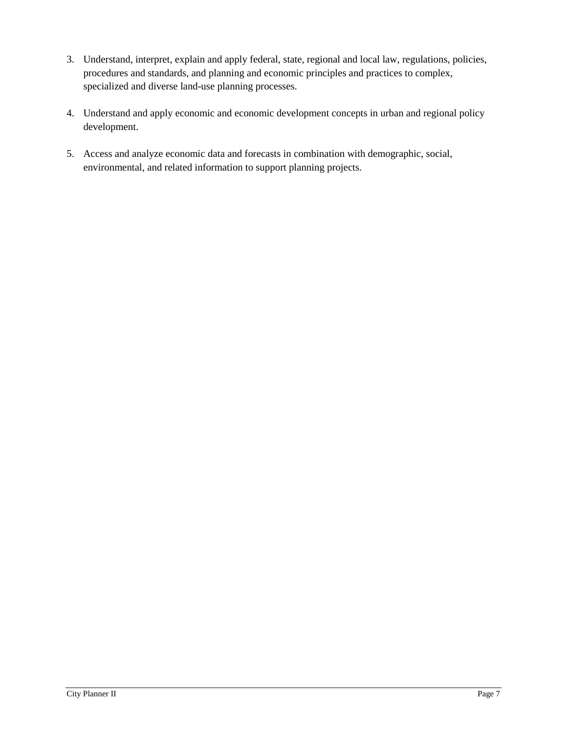- 3. Understand, interpret, explain and apply federal, state, regional and local law, regulations, policies, procedures and standards, and planning and economic principles and practices to complex, specialized and diverse land-use planning processes.
- 4. Understand and apply economic and economic development concepts in urban and regional policy development.
- 5. Access and analyze economic data and forecasts in combination with demographic, social, environmental, and related information to support planning projects.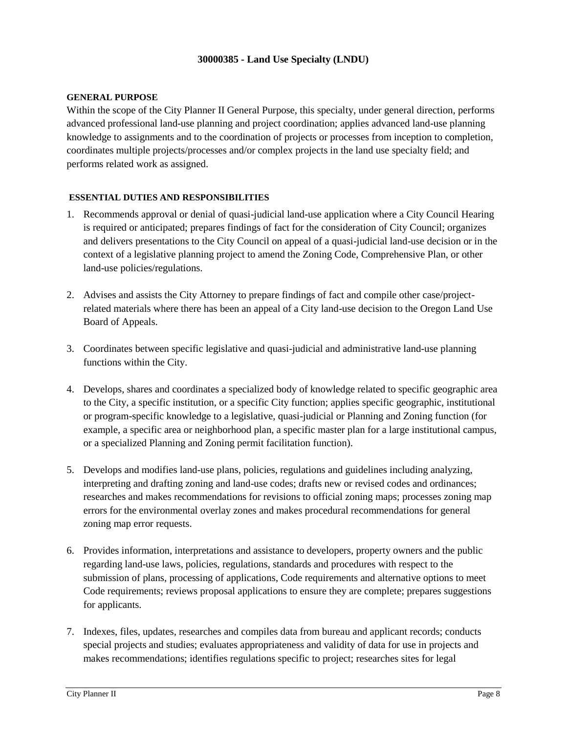### **30000385 - Land Use Specialty (LNDU)**

#### **GENERAL PURPOSE**

Within the scope of the City Planner II General Purpose, this specialty, under general direction, performs advanced professional land-use planning and project coordination; applies advanced land-use planning knowledge to assignments and to the coordination of projects or processes from inception to completion, coordinates multiple projects/processes and/or complex projects in the land use specialty field; and performs related work as assigned.

### **ESSENTIAL DUTIES AND RESPONSIBILITIES**

- 1. Recommends approval or denial of quasi-judicial land-use application where a City Council Hearing is required or anticipated; prepares findings of fact for the consideration of City Council; organizes and delivers presentations to the City Council on appeal of a quasi-judicial land-use decision or in the context of a legislative planning project to amend the Zoning Code, Comprehensive Plan, or other land-use policies/regulations.
- 2. Advises and assists the City Attorney to prepare findings of fact and compile other case/projectrelated materials where there has been an appeal of a City land-use decision to the Oregon Land Use Board of Appeals.
- 3. Coordinates between specific legislative and quasi-judicial and administrative land-use planning functions within the City.
- 4. Develops, shares and coordinates a specialized body of knowledge related to specific geographic area to the City, a specific institution, or a specific City function; applies specific geographic, institutional or program-specific knowledge to a legislative, quasi-judicial or Planning and Zoning function (for example, a specific area or neighborhood plan, a specific master plan for a large institutional campus, or a specialized Planning and Zoning permit facilitation function).
- 5. Develops and modifies land-use plans, policies, regulations and guidelines including analyzing, interpreting and drafting zoning and land-use codes; drafts new or revised codes and ordinances; researches and makes recommendations for revisions to official zoning maps; processes zoning map errors for the environmental overlay zones and makes procedural recommendations for general zoning map error requests.
- 6. Provides information, interpretations and assistance to developers, property owners and the public regarding land-use laws, policies, regulations, standards and procedures with respect to the submission of plans, processing of applications, Code requirements and alternative options to meet Code requirements; reviews proposal applications to ensure they are complete; prepares suggestions for applicants.
- 7. Indexes, files, updates, researches and compiles data from bureau and applicant records; conducts special projects and studies; evaluates appropriateness and validity of data for use in projects and makes recommendations; identifies regulations specific to project; researches sites for legal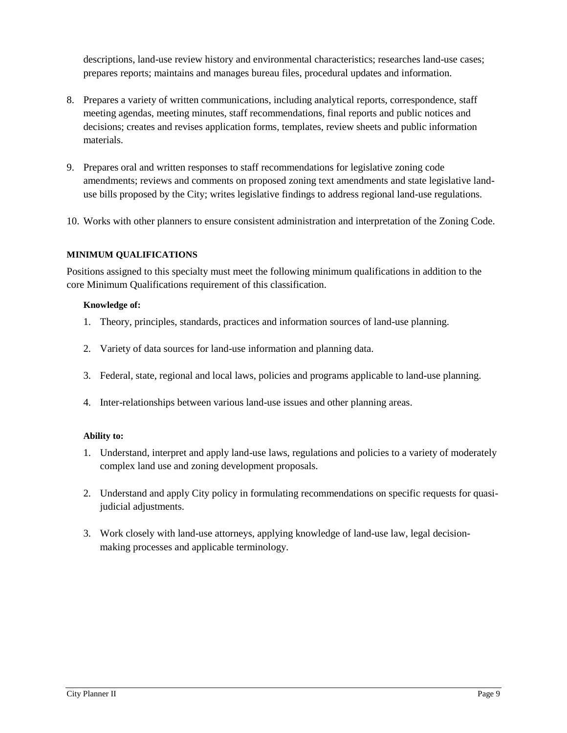descriptions, land-use review history and environmental characteristics; researches land-use cases; prepares reports; maintains and manages bureau files, procedural updates and information.

- 8. Prepares a variety of written communications, including analytical reports, correspondence, staff meeting agendas, meeting minutes, staff recommendations, final reports and public notices and decisions; creates and revises application forms, templates, review sheets and public information materials.
- 9. Prepares oral and written responses to staff recommendations for legislative zoning code amendments; reviews and comments on proposed zoning text amendments and state legislative landuse bills proposed by the City; writes legislative findings to address regional land-use regulations.
- 10. Works with other planners to ensure consistent administration and interpretation of the Zoning Code.

# **MINIMUM QUALIFICATIONS**

Positions assigned to this specialty must meet the following minimum qualifications in addition to the core Minimum Qualifications requirement of this classification.

# **Knowledge of:**

- 1. Theory, principles, standards, practices and information sources of land-use planning.
- 2. Variety of data sources for land-use information and planning data.
- 3. Federal, state, regional and local laws, policies and programs applicable to land-use planning.
- 4. Inter-relationships between various land-use issues and other planning areas.

- 1. Understand, interpret and apply land-use laws, regulations and policies to a variety of moderately complex land use and zoning development proposals.
- 2. Understand and apply City policy in formulating recommendations on specific requests for quasijudicial adjustments.
- 3. Work closely with land-use attorneys, applying knowledge of land-use law, legal decisionmaking processes and applicable terminology.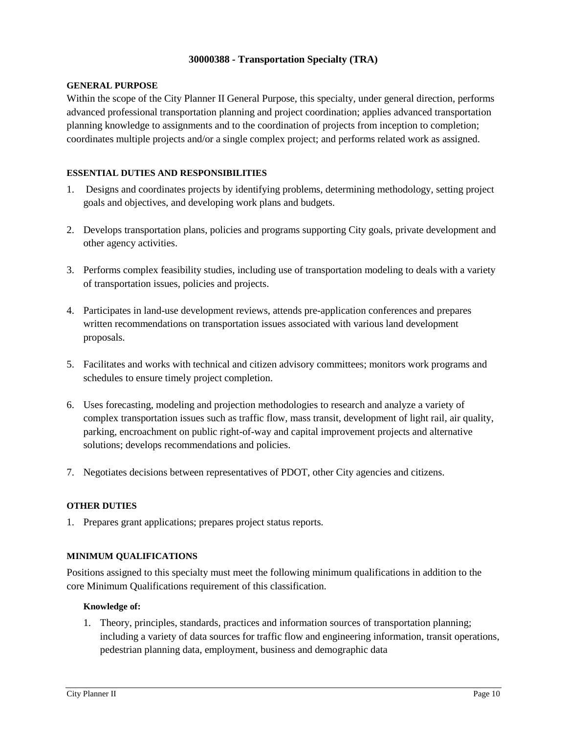### **30000388 - Transportation Specialty (TRA)**

#### **GENERAL PURPOSE**

Within the scope of the City Planner II General Purpose, this specialty, under general direction, performs advanced professional transportation planning and project coordination; applies advanced transportation planning knowledge to assignments and to the coordination of projects from inception to completion; coordinates multiple projects and/or a single complex project; and performs related work as assigned.

### **ESSENTIAL DUTIES AND RESPONSIBILITIES**

- 1. Designs and coordinates projects by identifying problems, determining methodology, setting project goals and objectives, and developing work plans and budgets.
- 2. Develops transportation plans, policies and programs supporting City goals, private development and other agency activities.
- 3. Performs complex feasibility studies, including use of transportation modeling to deals with a variety of transportation issues, policies and projects.
- 4. Participates in land-use development reviews, attends pre-application conferences and prepares written recommendations on transportation issues associated with various land development proposals.
- 5. Facilitates and works with technical and citizen advisory committees; monitors work programs and schedules to ensure timely project completion.
- 6. Uses forecasting, modeling and projection methodologies to research and analyze a variety of complex transportation issues such as traffic flow, mass transit, development of light rail, air quality, parking, encroachment on public right-of-way and capital improvement projects and alternative solutions; develops recommendations and policies.
- 7. Negotiates decisions between representatives of PDOT, other City agencies and citizens.

### **OTHER DUTIES**

1. Prepares grant applications; prepares project status reports.

### **MINIMUM QUALIFICATIONS**

Positions assigned to this specialty must meet the following minimum qualifications in addition to the core Minimum Qualifications requirement of this classification.

### **Knowledge of:**

1. Theory, principles, standards, practices and information sources of transportation planning; including a variety of data sources for traffic flow and engineering information, transit operations, pedestrian planning data, employment, business and demographic data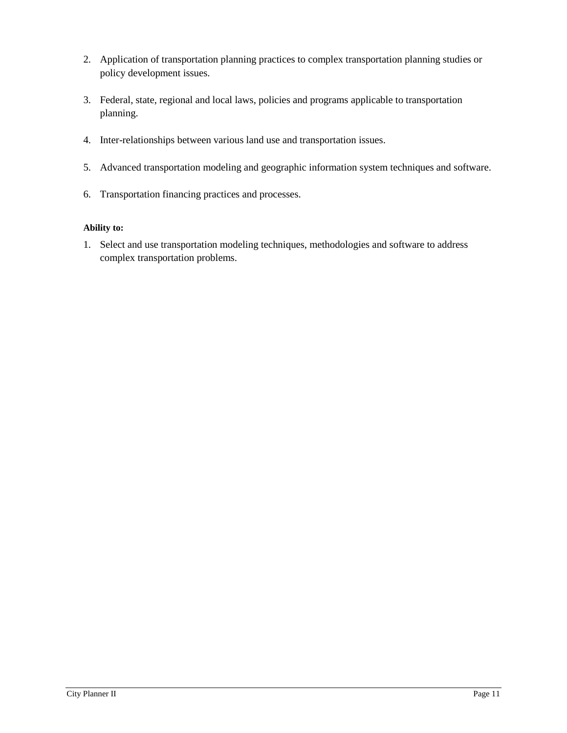- 2. Application of transportation planning practices to complex transportation planning studies or policy development issues.
- 3. Federal, state, regional and local laws, policies and programs applicable to transportation planning.
- 4. Inter-relationships between various land use and transportation issues.
- 5. Advanced transportation modeling and geographic information system techniques and software.
- 6. Transportation financing practices and processes.

1. Select and use transportation modeling techniques, methodologies and software to address complex transportation problems.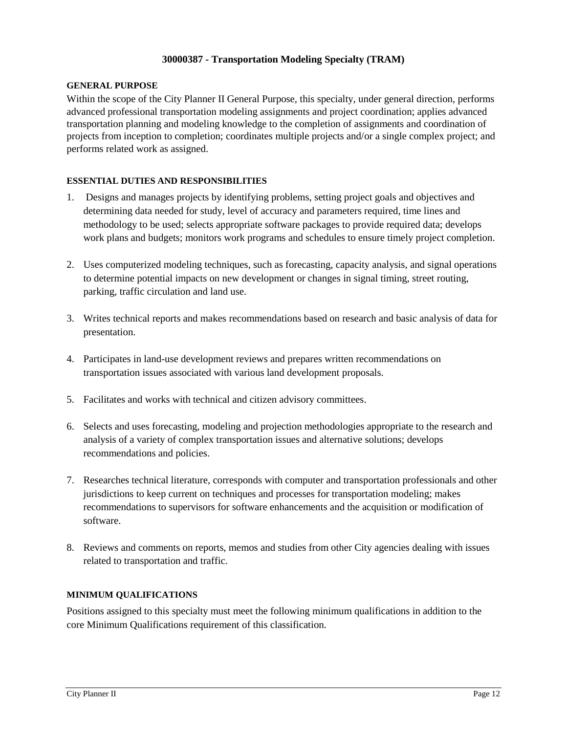### **30000387 - Transportation Modeling Specialty (TRAM)**

#### **GENERAL PURPOSE**

Within the scope of the City Planner II General Purpose, this specialty, under general direction, performs advanced professional transportation modeling assignments and project coordination; applies advanced transportation planning and modeling knowledge to the completion of assignments and coordination of projects from inception to completion; coordinates multiple projects and/or a single complex project; and performs related work as assigned.

### **ESSENTIAL DUTIES AND RESPONSIBILITIES**

- 1. Designs and manages projects by identifying problems, setting project goals and objectives and determining data needed for study, level of accuracy and parameters required, time lines and methodology to be used; selects appropriate software packages to provide required data; develops work plans and budgets; monitors work programs and schedules to ensure timely project completion.
- 2. Uses computerized modeling techniques, such as forecasting, capacity analysis, and signal operations to determine potential impacts on new development or changes in signal timing, street routing, parking, traffic circulation and land use.
- 3. Writes technical reports and makes recommendations based on research and basic analysis of data for presentation.
- 4. Participates in land-use development reviews and prepares written recommendations on transportation issues associated with various land development proposals.
- 5. Facilitates and works with technical and citizen advisory committees.
- 6. Selects and uses forecasting, modeling and projection methodologies appropriate to the research and analysis of a variety of complex transportation issues and alternative solutions; develops recommendations and policies.
- 7. Researches technical literature, corresponds with computer and transportation professionals and other jurisdictions to keep current on techniques and processes for transportation modeling; makes recommendations to supervisors for software enhancements and the acquisition or modification of software.
- 8. Reviews and comments on reports, memos and studies from other City agencies dealing with issues related to transportation and traffic.

### **MINIMUM QUALIFICATIONS**

Positions assigned to this specialty must meet the following minimum qualifications in addition to the core Minimum Qualifications requirement of this classification.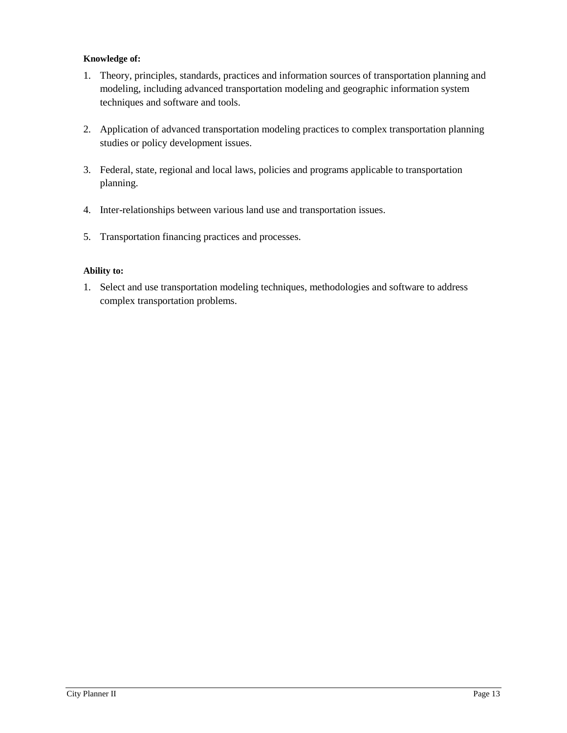## **Knowledge of:**

- 1. Theory, principles, standards, practices and information sources of transportation planning and modeling, including advanced transportation modeling and geographic information system techniques and software and tools.
- 2. Application of advanced transportation modeling practices to complex transportation planning studies or policy development issues.
- 3. Federal, state, regional and local laws, policies and programs applicable to transportation planning.
- 4. Inter-relationships between various land use and transportation issues.
- 5. Transportation financing practices and processes.

## **Ability to:**

1. Select and use transportation modeling techniques, methodologies and software to address complex transportation problems.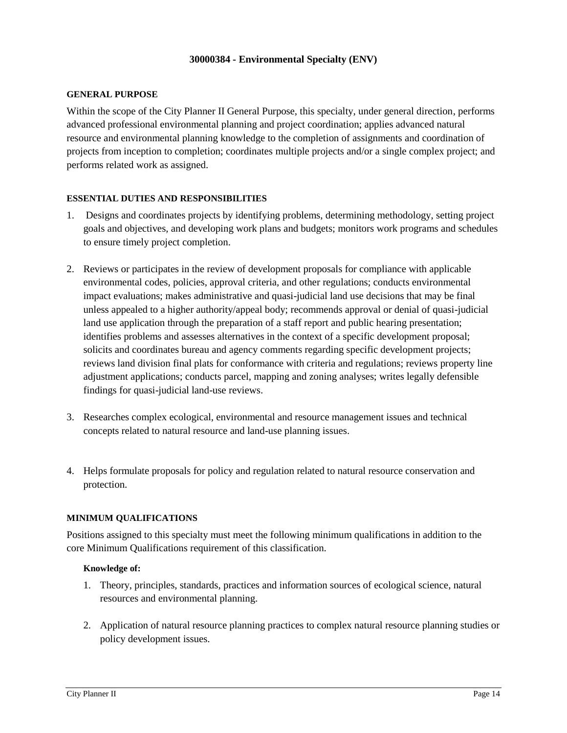#### **30000384 - Environmental Specialty (ENV)**

#### **GENERAL PURPOSE**

Within the scope of the City Planner II General Purpose, this specialty, under general direction, performs advanced professional environmental planning and project coordination; applies advanced natural resource and environmental planning knowledge to the completion of assignments and coordination of projects from inception to completion; coordinates multiple projects and/or a single complex project; and performs related work as assigned.

### **ESSENTIAL DUTIES AND RESPONSIBILITIES**

- 1. Designs and coordinates projects by identifying problems, determining methodology, setting project goals and objectives, and developing work plans and budgets; monitors work programs and schedules to ensure timely project completion.
- 2. Reviews or participates in the review of development proposals for compliance with applicable environmental codes, policies, approval criteria, and other regulations; conducts environmental impact evaluations; makes administrative and quasi-judicial land use decisions that may be final unless appealed to a higher authority/appeal body; recommends approval or denial of quasi-judicial land use application through the preparation of a staff report and public hearing presentation; identifies problems and assesses alternatives in the context of a specific development proposal; solicits and coordinates bureau and agency comments regarding specific development projects; reviews land division final plats for conformance with criteria and regulations; reviews property line adjustment applications; conducts parcel, mapping and zoning analyses; writes legally defensible findings for quasi-judicial land-use reviews.
- 3. Researches complex ecological, environmental and resource management issues and technical concepts related to natural resource and land-use planning issues.
- 4. Helps formulate proposals for policy and regulation related to natural resource conservation and protection.

### **MINIMUM QUALIFICATIONS**

Positions assigned to this specialty must meet the following minimum qualifications in addition to the core Minimum Qualifications requirement of this classification.

#### **Knowledge of:**

- 1. Theory, principles, standards, practices and information sources of ecological science, natural resources and environmental planning.
- 2. Application of natural resource planning practices to complex natural resource planning studies or policy development issues.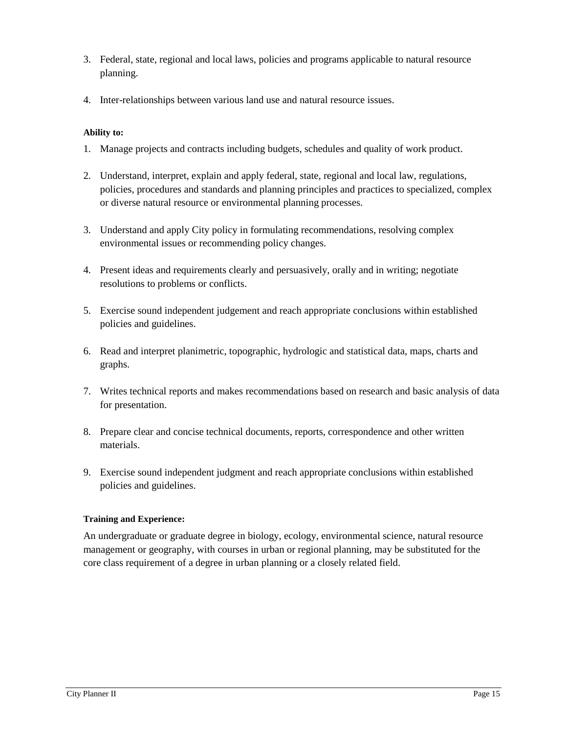- 3. Federal, state, regional and local laws, policies and programs applicable to natural resource planning.
- 4. Inter-relationships between various land use and natural resource issues.

- 1. Manage projects and contracts including budgets, schedules and quality of work product.
- 2. Understand, interpret, explain and apply federal, state, regional and local law, regulations, policies, procedures and standards and planning principles and practices to specialized, complex or diverse natural resource or environmental planning processes.
- 3. Understand and apply City policy in formulating recommendations, resolving complex environmental issues or recommending policy changes.
- 4. Present ideas and requirements clearly and persuasively, orally and in writing; negotiate resolutions to problems or conflicts.
- 5. Exercise sound independent judgement and reach appropriate conclusions within established policies and guidelines.
- 6. Read and interpret planimetric, topographic, hydrologic and statistical data, maps, charts and graphs.
- 7. Writes technical reports and makes recommendations based on research and basic analysis of data for presentation.
- 8. Prepare clear and concise technical documents, reports, correspondence and other written materials.
- 9. Exercise sound independent judgment and reach appropriate conclusions within established policies and guidelines.

### **Training and Experience:**

An undergraduate or graduate degree in biology, ecology, environmental science, natural resource management or geography, with courses in urban or regional planning, may be substituted for the core class requirement of a degree in urban planning or a closely related field.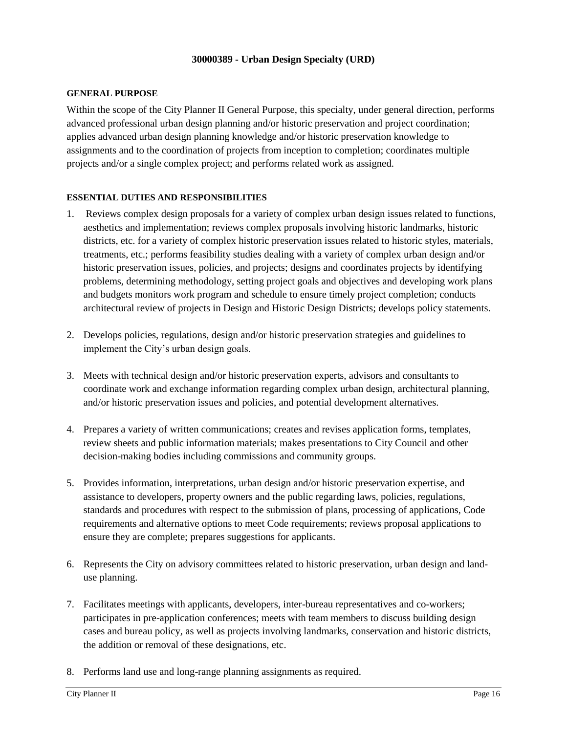### **30000389 - Urban Design Specialty (URD)**

#### **GENERAL PURPOSE**

Within the scope of the City Planner II General Purpose, this specialty, under general direction, performs advanced professional urban design planning and/or historic preservation and project coordination; applies advanced urban design planning knowledge and/or historic preservation knowledge to assignments and to the coordination of projects from inception to completion; coordinates multiple projects and/or a single complex project; and performs related work as assigned.

#### **ESSENTIAL DUTIES AND RESPONSIBILITIES**

- 1. Reviews complex design proposals for a variety of complex urban design issues related to functions, aesthetics and implementation; reviews complex proposals involving historic landmarks, historic districts, etc. for a variety of complex historic preservation issues related to historic styles, materials, treatments, etc.; performs feasibility studies dealing with a variety of complex urban design and/or historic preservation issues, policies, and projects; designs and coordinates projects by identifying problems, determining methodology, setting project goals and objectives and developing work plans and budgets monitors work program and schedule to ensure timely project completion; conducts architectural review of projects in Design and Historic Design Districts; develops policy statements.
- 2. Develops policies, regulations, design and/or historic preservation strategies and guidelines to implement the City's urban design goals.
- 3. Meets with technical design and/or historic preservation experts, advisors and consultants to coordinate work and exchange information regarding complex urban design, architectural planning, and/or historic preservation issues and policies, and potential development alternatives.
- 4. Prepares a variety of written communications; creates and revises application forms, templates, review sheets and public information materials; makes presentations to City Council and other decision-making bodies including commissions and community groups.
- 5. Provides information, interpretations, urban design and/or historic preservation expertise, and assistance to developers, property owners and the public regarding laws, policies, regulations, standards and procedures with respect to the submission of plans, processing of applications, Code requirements and alternative options to meet Code requirements; reviews proposal applications to ensure they are complete; prepares suggestions for applicants.
- 6. Represents the City on advisory committees related to historic preservation, urban design and landuse planning.
- 7. Facilitates meetings with applicants, developers, inter-bureau representatives and co-workers; participates in pre-application conferences; meets with team members to discuss building design cases and bureau policy, as well as projects involving landmarks, conservation and historic districts, the addition or removal of these designations, etc.
- 8. Performs land use and long-range planning assignments as required.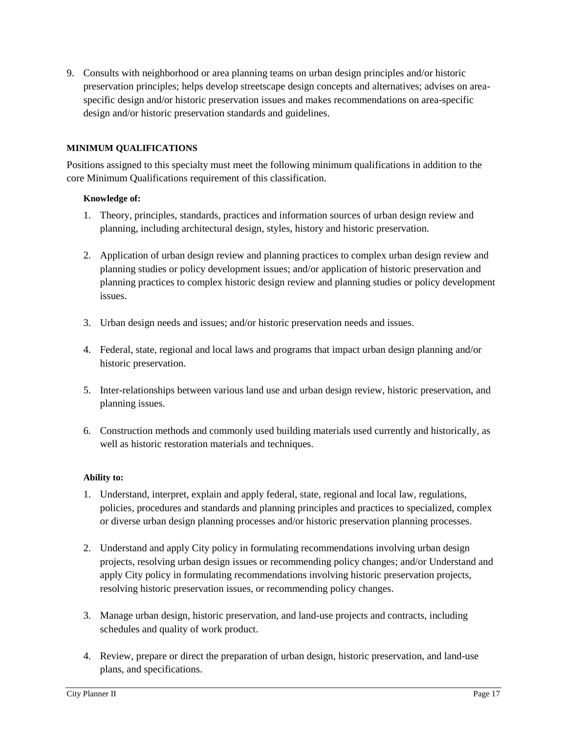9. Consults with neighborhood or area planning teams on urban design principles and/or historic preservation principles; helps develop streetscape design concepts and alternatives; advises on areaspecific design and/or historic preservation issues and makes recommendations on area-specific design and/or historic preservation standards and guidelines.

## **MINIMUM QUALIFICATIONS**

Positions assigned to this specialty must meet the following minimum qualifications in addition to the core Minimum Qualifications requirement of this classification.

## **Knowledge of:**

- 1. Theory, principles, standards, practices and information sources of urban design review and planning, including architectural design, styles, history and historic preservation.
- 2. Application of urban design review and planning practices to complex urban design review and planning studies or policy development issues; and/or application of historic preservation and planning practices to complex historic design review and planning studies or policy development issues.
- 3. Urban design needs and issues; and/or historic preservation needs and issues.
- 4. Federal, state, regional and local laws and programs that impact urban design planning and/or historic preservation.
- 5. Inter-relationships between various land use and urban design review, historic preservation, and planning issues.
- 6. Construction methods and commonly used building materials used currently and historically, as well as historic restoration materials and techniques.

- 1. Understand, interpret, explain and apply federal, state, regional and local law, regulations, policies, procedures and standards and planning principles and practices to specialized, complex or diverse urban design planning processes and/or historic preservation planning processes.
- 2. Understand and apply City policy in formulating recommendations involving urban design projects, resolving urban design issues or recommending policy changes; and/or Understand and apply City policy in formulating recommendations involving historic preservation projects, resolving historic preservation issues, or recommending policy changes.
- 3. Manage urban design, historic preservation, and land-use projects and contracts, including schedules and quality of work product.
- 4. Review, prepare or direct the preparation of urban design, historic preservation, and land-use plans, and specifications.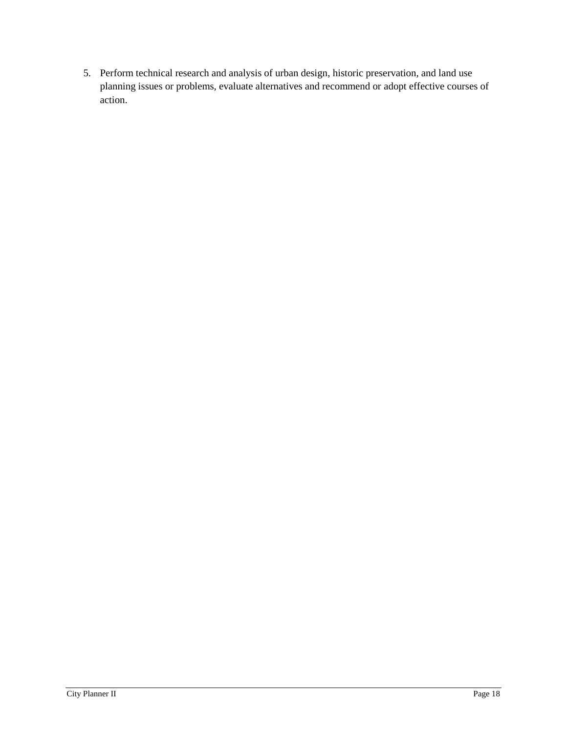5. Perform technical research and analysis of urban design, historic preservation, and land use planning issues or problems, evaluate alternatives and recommend or adopt effective courses of action.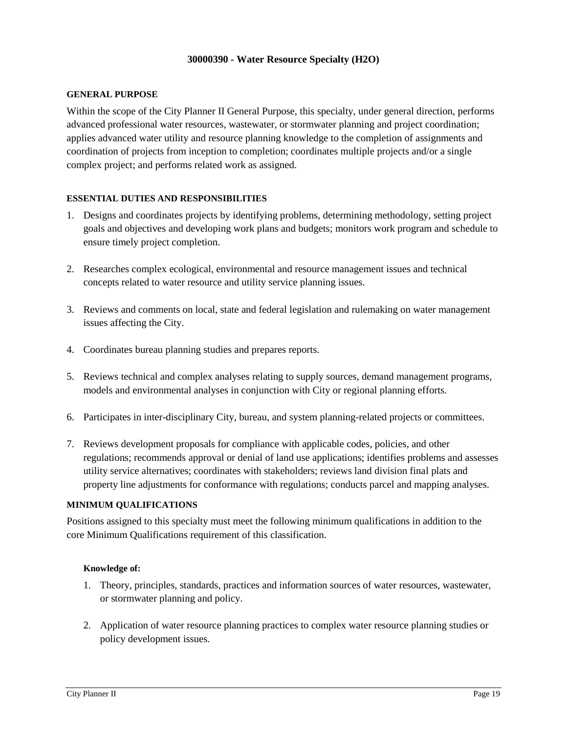#### **30000390 - Water Resource Specialty (H2O)**

#### **GENERAL PURPOSE**

Within the scope of the City Planner II General Purpose, this specialty, under general direction, performs advanced professional water resources, wastewater, or stormwater planning and project coordination; applies advanced water utility and resource planning knowledge to the completion of assignments and coordination of projects from inception to completion; coordinates multiple projects and/or a single complex project; and performs related work as assigned.

### **ESSENTIAL DUTIES AND RESPONSIBILITIES**

- 1. Designs and coordinates projects by identifying problems, determining methodology, setting project goals and objectives and developing work plans and budgets; monitors work program and schedule to ensure timely project completion.
- 2. Researches complex ecological, environmental and resource management issues and technical concepts related to water resource and utility service planning issues.
- 3. Reviews and comments on local, state and federal legislation and rulemaking on water management issues affecting the City.
- 4. Coordinates bureau planning studies and prepares reports.
- 5. Reviews technical and complex analyses relating to supply sources, demand management programs, models and environmental analyses in conjunction with City or regional planning efforts.
- 6. Participates in inter-disciplinary City, bureau, and system planning-related projects or committees.
- 7. Reviews development proposals for compliance with applicable codes, policies, and other regulations; recommends approval or denial of land use applications; identifies problems and assesses utility service alternatives; coordinates with stakeholders; reviews land division final plats and property line adjustments for conformance with regulations; conducts parcel and mapping analyses.

#### **MINIMUM QUALIFICATIONS**

Positions assigned to this specialty must meet the following minimum qualifications in addition to the core Minimum Qualifications requirement of this classification.

#### **Knowledge of:**

- 1. Theory, principles, standards, practices and information sources of water resources, wastewater, or stormwater planning and policy.
- 2. Application of water resource planning practices to complex water resource planning studies or policy development issues.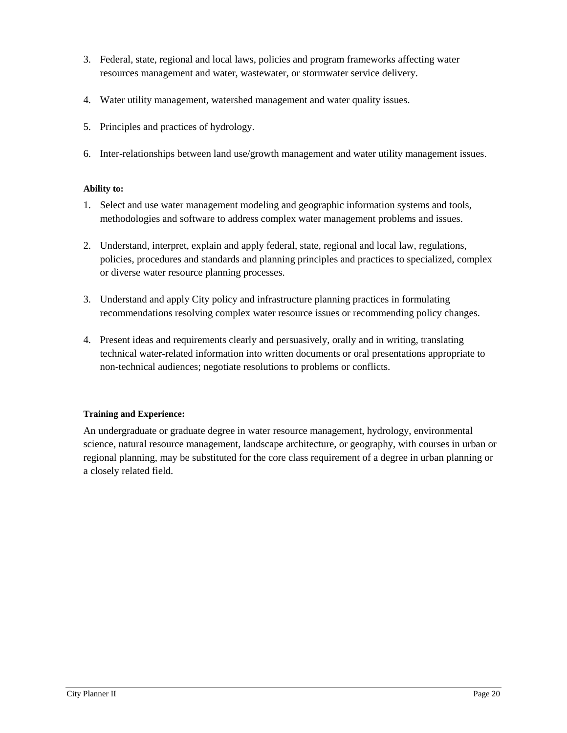- 3. Federal, state, regional and local laws, policies and program frameworks affecting water resources management and water, wastewater, or stormwater service delivery.
- 4. Water utility management, watershed management and water quality issues.
- 5. Principles and practices of hydrology.
- 6. Inter-relationships between land use/growth management and water utility management issues.

- 1. Select and use water management modeling and geographic information systems and tools, methodologies and software to address complex water management problems and issues.
- 2. Understand, interpret, explain and apply federal, state, regional and local law, regulations, policies, procedures and standards and planning principles and practices to specialized, complex or diverse water resource planning processes.
- 3. Understand and apply City policy and infrastructure planning practices in formulating recommendations resolving complex water resource issues or recommending policy changes.
- 4. Present ideas and requirements clearly and persuasively, orally and in writing, translating technical water-related information into written documents or oral presentations appropriate to non-technical audiences; negotiate resolutions to problems or conflicts.

### **Training and Experience:**

An undergraduate or graduate degree in water resource management, hydrology, environmental science, natural resource management, landscape architecture, or geography, with courses in urban or regional planning, may be substituted for the core class requirement of a degree in urban planning or a closely related field.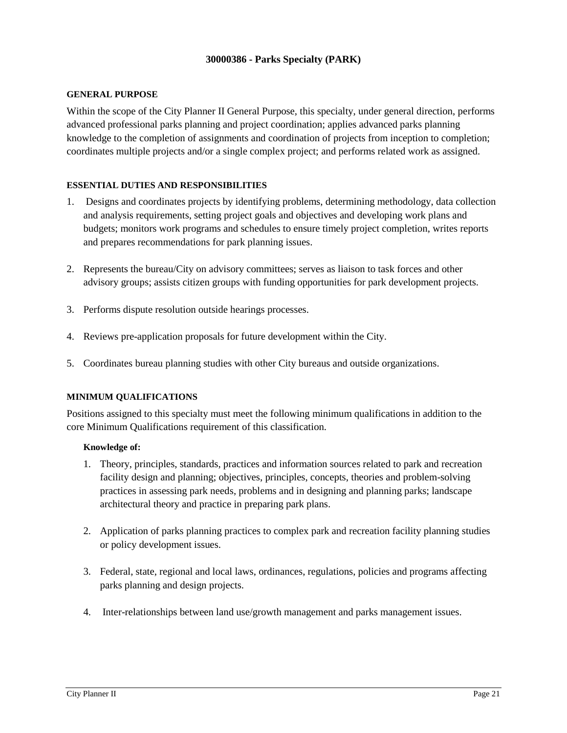### **30000386 - Parks Specialty (PARK)**

#### **GENERAL PURPOSE**

Within the scope of the City Planner II General Purpose, this specialty, under general direction, performs advanced professional parks planning and project coordination; applies advanced parks planning knowledge to the completion of assignments and coordination of projects from inception to completion; coordinates multiple projects and/or a single complex project; and performs related work as assigned.

### **ESSENTIAL DUTIES AND RESPONSIBILITIES**

- 1. Designs and coordinates projects by identifying problems, determining methodology, data collection and analysis requirements, setting project goals and objectives and developing work plans and budgets; monitors work programs and schedules to ensure timely project completion, writes reports and prepares recommendations for park planning issues.
- 2. Represents the bureau/City on advisory committees; serves as liaison to task forces and other advisory groups; assists citizen groups with funding opportunities for park development projects.
- 3. Performs dispute resolution outside hearings processes.
- 4. Reviews pre-application proposals for future development within the City.
- 5. Coordinates bureau planning studies with other City bureaus and outside organizations.

### **MINIMUM QUALIFICATIONS**

Positions assigned to this specialty must meet the following minimum qualifications in addition to the core Minimum Qualifications requirement of this classification.

#### **Knowledge of:**

- 1. Theory, principles, standards, practices and information sources related to park and recreation facility design and planning; objectives, principles, concepts, theories and problem-solving practices in assessing park needs, problems and in designing and planning parks; landscape architectural theory and practice in preparing park plans.
- 2. Application of parks planning practices to complex park and recreation facility planning studies or policy development issues.
- 3. Federal, state, regional and local laws, ordinances, regulations, policies and programs affecting parks planning and design projects.
- 4. Inter-relationships between land use/growth management and parks management issues.